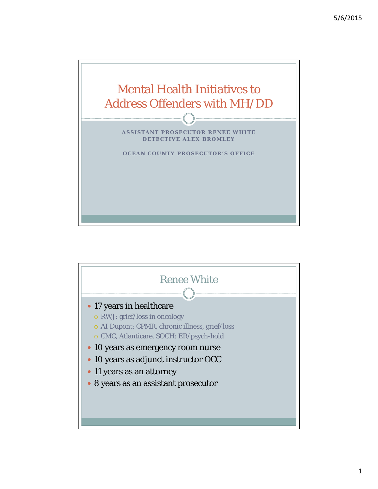

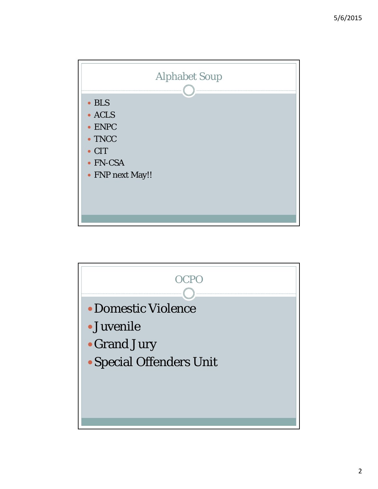

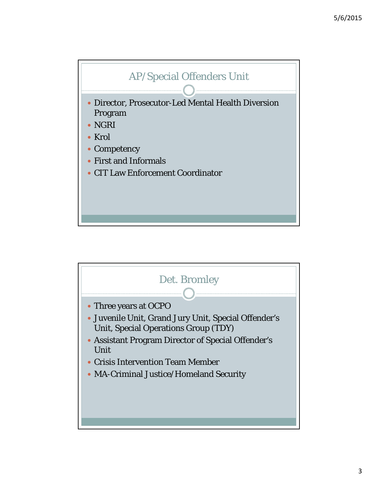

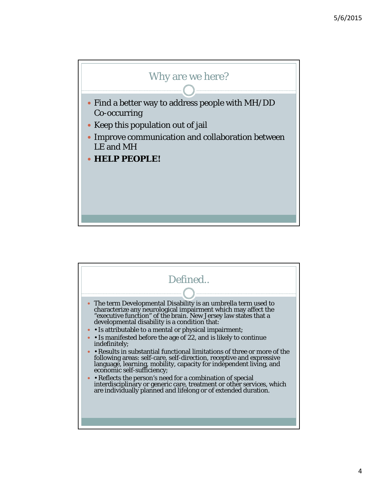

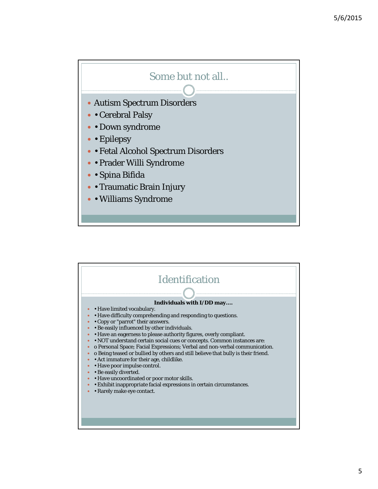

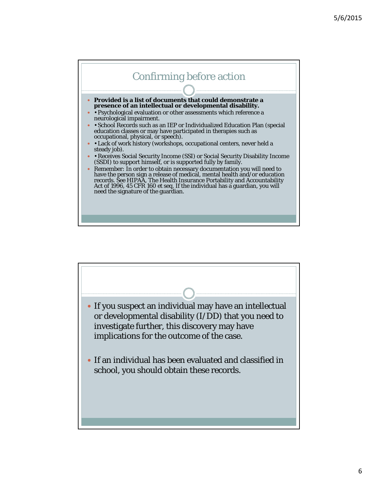



6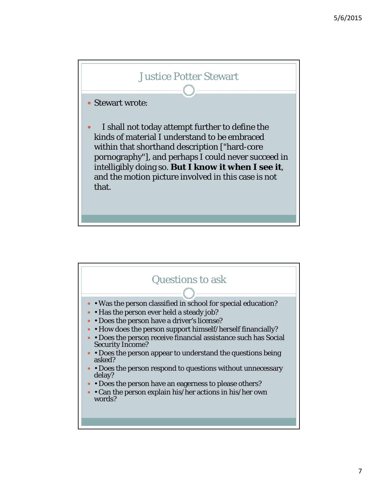

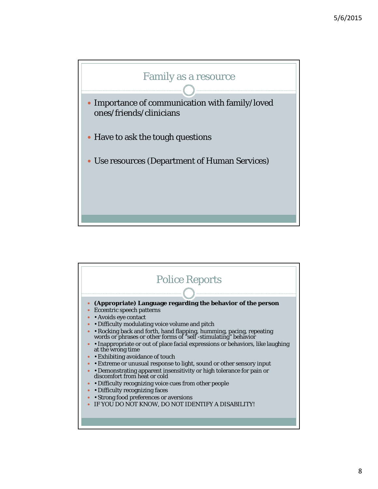

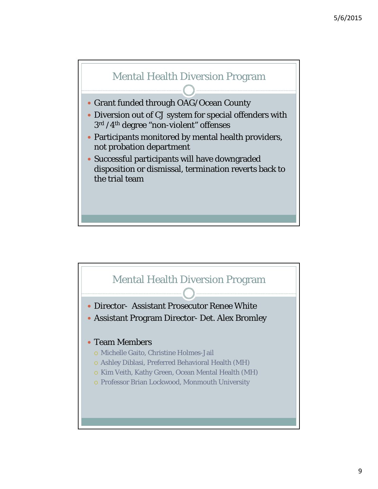



9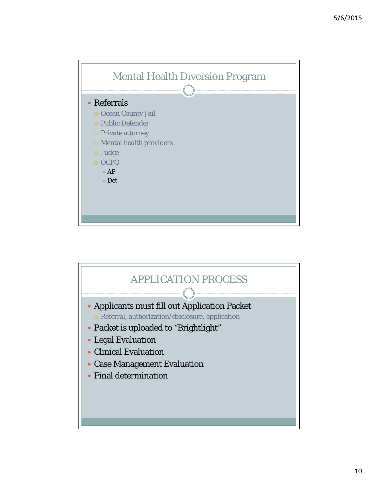

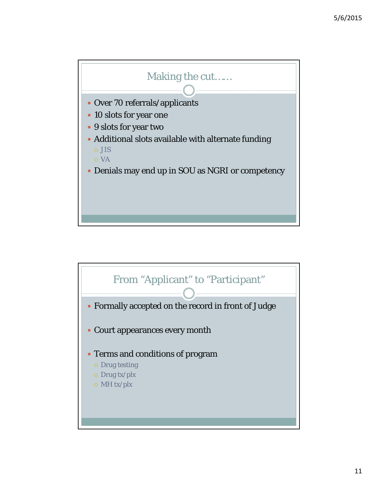

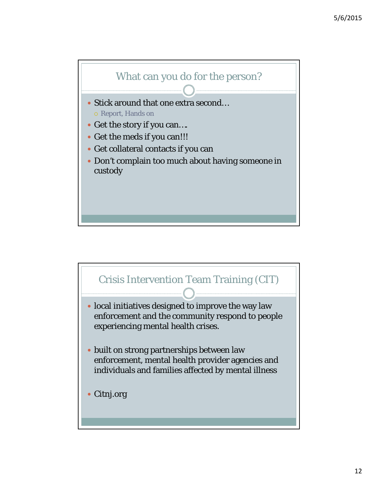